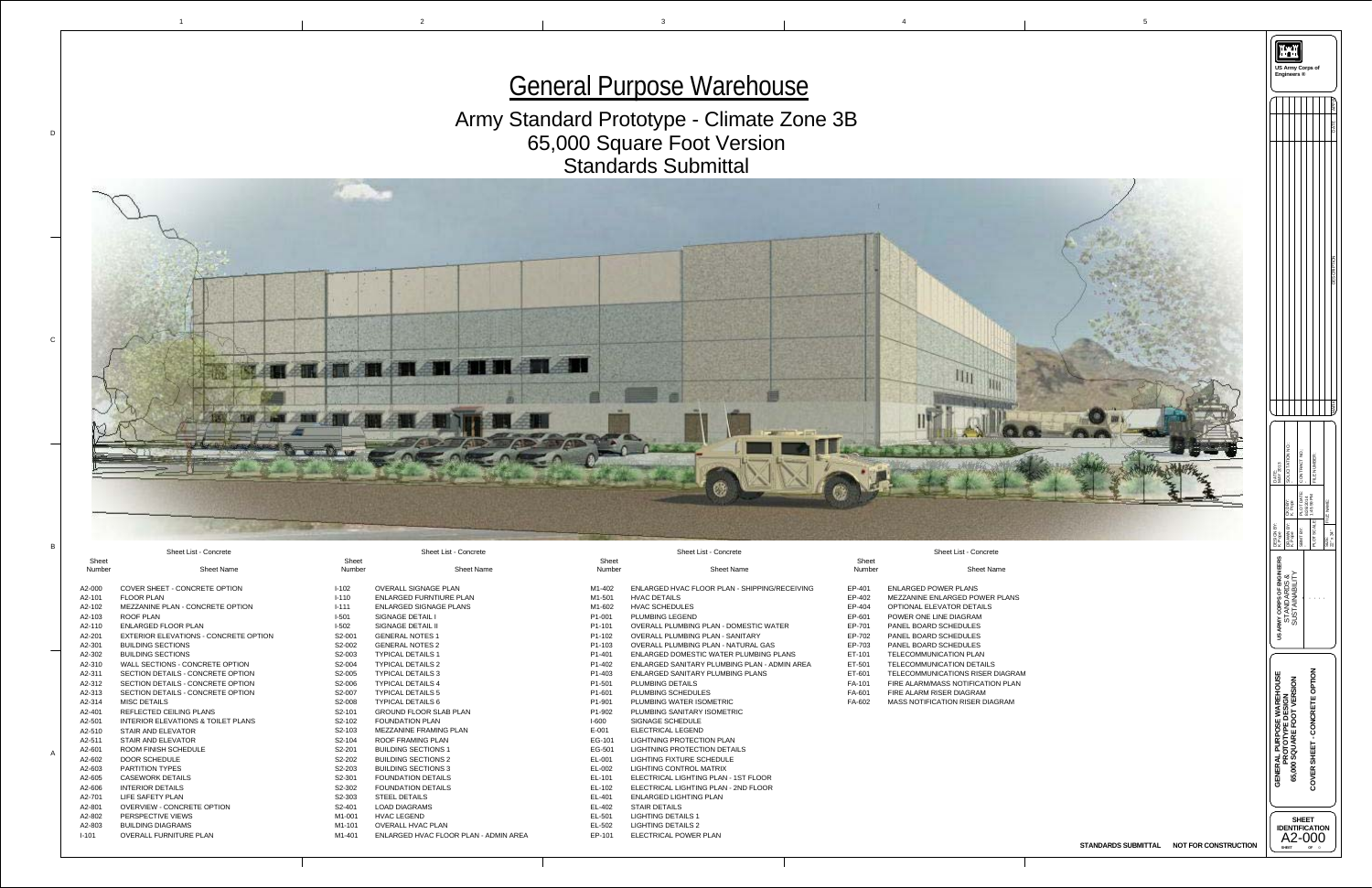1

D

C



B

A



## Sheet List - Concrete

r **Sheet Name** 

Sheet Number

| EP-401 | <b>ENLARGED POWER PLANS</b>              |
|--------|------------------------------------------|
| EP-402 | <b>MEZZANINE ENLARGED POWER PLANS</b>    |
| EP-404 | <b>OPTIONAL ELEVATOR DETAILS</b>         |
| EP-601 | POWER ONE LINE DIAGRAM                   |
| EP-701 | <b>PANEL BOARD SCHEDULES</b>             |
| EP-702 | <b>PANEL BOARD SCHEDULES</b>             |
| EP-703 | <b>PANEL BOARD SCHEDULES</b>             |
| ET-101 | <b>TELECOMMUNICATION PLAN</b>            |
| ET-501 | <b>TELECOMMUNICATION DETAILS</b>         |
| ET-601 | <b>TELECOMMUNICATIONS RISER DIAGRAM</b>  |
| FA-101 | <b>FIRE ALARM/MASS NOTIFICATION PLAN</b> |
| FA-601 | FIRE ALARM RISER DIAGRAM                 |
| FA-602 | <b>MASS NOTIFICATION RISER DIAGRAM</b>   |

Sheet List - Concrete

| <b>Sheet</b><br><b>Number</b>   | <b>Sheet Name</b>                             |
|---------------------------------|-----------------------------------------------|
| M <sub>1</sub> -402             | ENLARGED HVAC FLOOR PLAN - SHIPPING/RECEIVING |
| M <sub>1</sub> -501             | <b>HVAC DETAILS</b>                           |
| M1-602                          | <b>HVAC SCHEDULES</b>                         |
| P <sub>1</sub> -001             | <b>PLUMBING LEGEND</b>                        |
| P <sub>1</sub> -101             | <b>OVERALL PLUMBING PLAN - DOMESTIC WATER</b> |
| P1-102                          | <b>OVERALL PLUMBING PLAN - SANITARY</b>       |
| P <sub>1</sub> -103             | <b>OVERALL PLUMBING PLAN - NATURAL GAS</b>    |
| P1-401                          | ENLARGED DOMESTIC WATER PLUMBING PLANS        |
| P <sub>1</sub> -40 <sub>2</sub> | ENLARGED SANITARY PLUMBING PLAN - ADMIN AREA  |
| P <sub>1</sub> -403             | <b>ENLARGED SANITARY PLUMBING PLANS</b>       |
| P <sub>1</sub> -501             | <b>PLUMBING DETAILS</b>                       |
| P <sub>1</sub> -601             | <b>PLUMBING SCHEDULES</b>                     |
| P1-901                          | <b>PLUMBING WATER ISOMETRIC</b>               |
| P1-902                          | PLUMBING SANITARY ISOMETRIC                   |
| $I-600$                         | <b>SIGNAGE SCHEDULE</b>                       |
| $E - 001$                       | <b>ELECTRICAL LEGEND</b>                      |
| EG-101                          | <b>LIGHTNING PROTECTION PLAN</b>              |
| EG-501                          | <b>LIGHTNING PROTECTION DETAILS</b>           |
| EL-001                          | <b>LIGHTING FIXTURE SCHEDULE</b>              |
| EL-002                          | <b>LIGHTING CONTROL MATRIX</b>                |
| EL-101                          | ELECTRICAL LIGHTING PLAN - 1ST FLOOR          |
| EL-102                          | ELECTRICAL LIGHTING PLAN - 2ND FLOOR          |
| EL-401                          | <b>ENLARGED LIGHTING PLAN</b>                 |
| EL-402                          | <b>STAIR DETAILS</b>                          |
| EL-501                          | <b>LIGHTING DETAILS 1</b>                     |
| EL-502                          | <b>LIGHTING DETAILS 2</b>                     |

EP-101 ELECTRICAL POWER PLAN

Sheet List - Concrete

Sheet List - Concrete

| <b>Sheet</b><br><b>Number</b> | <b>Sheet Name</b>                             | <b>Sheet</b><br><b>Number</b> | <b>Sheet Name</b>                     |
|-------------------------------|-----------------------------------------------|-------------------------------|---------------------------------------|
| A2-000                        | COVER SHEET - CONCRETE OPTION                 | $I-102$                       | <b>OVERALL SIGNAGE PLAN</b>           |
| A2-101                        | <b>FLOOR PLAN</b>                             | $I - 110$                     | <b>ENLARGED FURNTIURE PLAN</b>        |
| A2-102                        | MEZZANINE PLAN - CONCRETE OPTION              | $I - 111$                     | <b>ENLARGED SIGNAGE PLANS</b>         |
| A2-103                        | <b>ROOF PLAN</b>                              | $I-501$                       | <b>SIGNAGE DETAIL I</b>               |
| A2-110                        | <b>ENLARGED FLOOR PLAN</b>                    | $I-502$                       | <b>SIGNAGE DETAIL II</b>              |
| A2-201                        | <b>EXTERIOR ELEVATIONS - CONCRETE OPTION</b>  | S2-001                        | <b>GENERAL NOTES 1</b>                |
| A2-301                        | <b>BUILDING SECTIONS</b>                      | S2-002                        | <b>GENERAL NOTES 2</b>                |
| A2-302                        | <b>BUILDING SECTIONS</b>                      | S2-003                        | <b>TYPICAL DETAILS 1</b>              |
| A2-310                        | <b>WALL SECTIONS - CONCRETE OPTION</b>        | S2-004                        | <b>TYPICAL DETAILS 2</b>              |
| A2-311                        | SECTION DETAILS - CONCRETE OPTION             | S2-005                        | <b>TYPICAL DETAILS 3</b>              |
| A2-312                        | SECTION DETAILS - CONCRETE OPTION             | S2-006                        | <b>TYPICAL DETAILS 4</b>              |
| A2-313                        | <b>SECTION DETAILS - CONCRETE OPTION</b>      | S2-007                        | <b>TYPICAL DETAILS 5</b>              |
| A2-314                        | <b>MISC DETAILS</b>                           | S2-008                        | <b>TYPICAL DETAILS 6</b>              |
| A2-401                        | <b>REFLECTED CEILING PLANS</b>                | S2-101                        | <b>GROUND FLOOR SLAB PLAN</b>         |
| A2-501                        | <b>INTERIOR ELEVATIONS &amp; TOILET PLANS</b> | S2-102                        | <b>FOUNDATION PLAN</b>                |
| A2-510                        | <b>STAIR AND ELEVATOR</b>                     | S2-103                        | MEZZANINE FRAMING PLAN                |
| A2-511                        | <b>STAIR AND ELEVATOR</b>                     | S2-104                        | <b>ROOF FRAMING PLAN</b>              |
| A2-601                        | <b>ROOM FINISH SCHEDULE</b>                   | S2-201                        | <b>BUILDING SECTIONS 1</b>            |
| A2-602                        | <b>DOOR SCHEDULE</b>                          | S2-202                        | <b>BUILDING SECTIONS 2</b>            |
| A2-603                        | <b>PARTITION TYPES</b>                        | S2-203                        | <b>BUILDING SECTIONS 3</b>            |
| A2-605                        | <b>CASEWORK DETAILS</b>                       | S2-301                        | <b>FOUNDATION DETAILS</b>             |
| A2-606                        | <b>INTERIOR DETAILS</b>                       | S2-302                        | <b>FOUNDATION DETAILS</b>             |
| A2-701                        | <b>LIFE SAFETY PLAN</b>                       | S <sub>2</sub> -303           | <b>STEEL DETAILS</b>                  |
| A2-801                        | <b>OVERVIEW - CONCRETE OPTION</b>             | S2-401                        | <b>LOAD DIAGRAMS</b>                  |
| A2-802                        | PERSPECTIVE VIEWS                             | M1-001                        | <b>HVAC LEGEND</b>                    |
| A2-803                        | <b>BUILDING DIAGRAMS</b>                      | M1-101                        | <b>OVERALL HVAC PLAN</b>              |
| $I - 101$                     | <b>OVERALL FURNITURE PLAN</b>                 | M1-401                        | ENLARGED HVAC FLOOR PLAN - ADMIN AREA |
|                               |                                               |                               |                                       |

## Army Standard Prototype - Climate Zone 3B 65,000 Square Foot Version Standards Submittal

# General Purpose Warehouse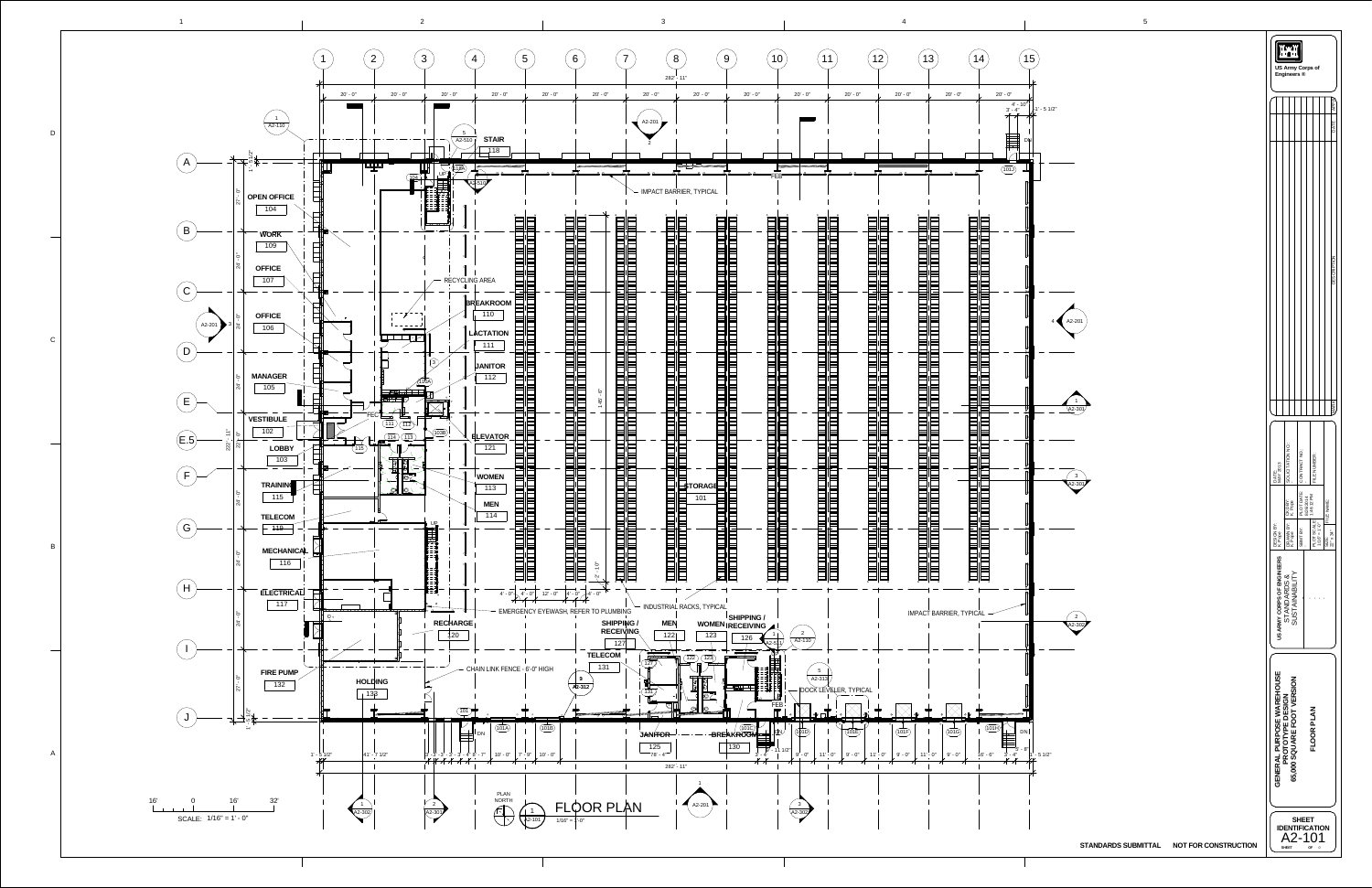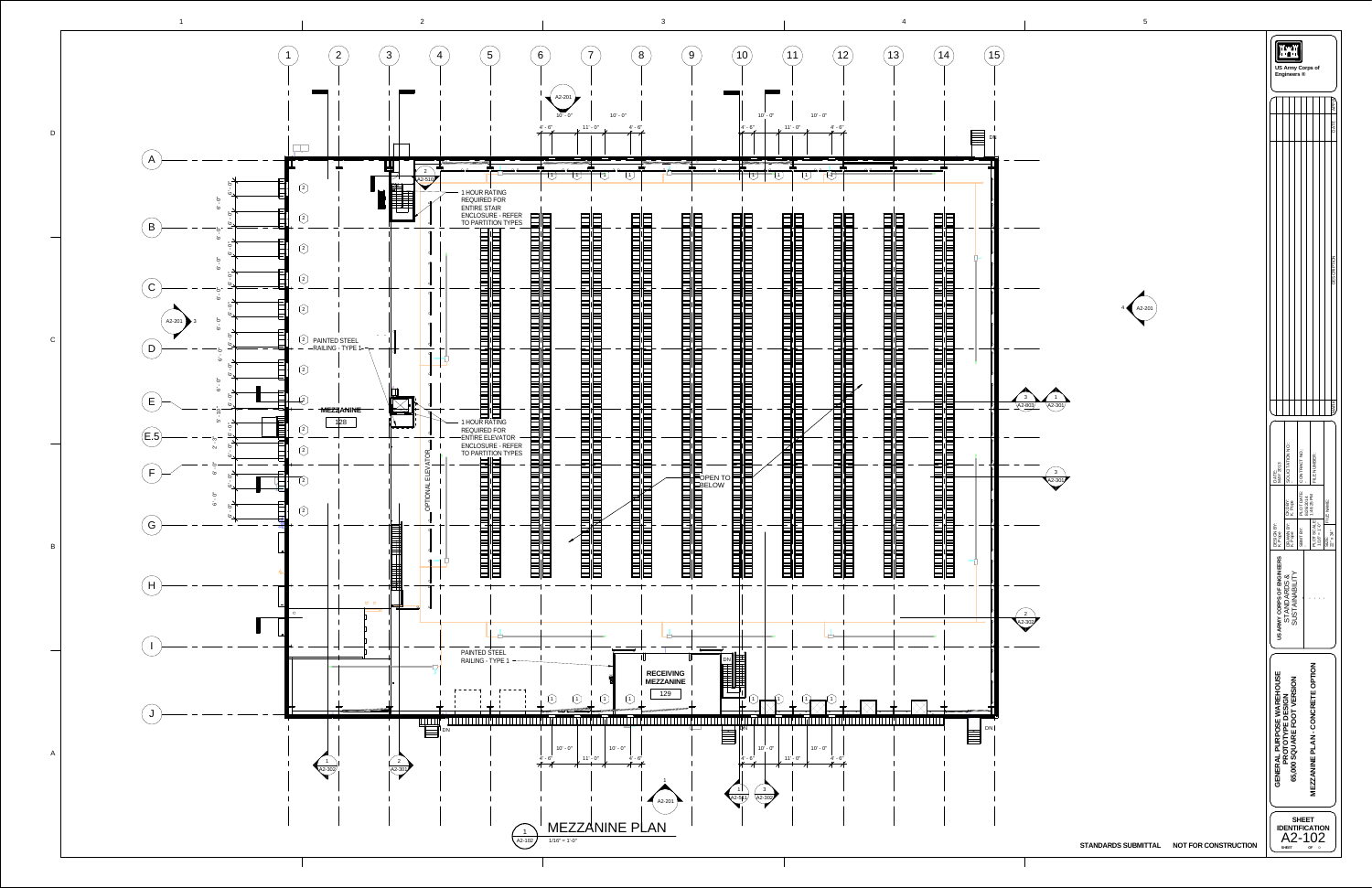|                                       | $\sqrt{5}$  |                                          |                                                                                                                                 |
|---------------------------------------|-------------|------------------------------------------|---------------------------------------------------------------------------------------------------------------------------------|
|                                       |             |                                          | ان میں<br>ان <mark>میں</mark><br>US Army Corps of<br>Engineers ®                                                                |
|                                       |             |                                          | <b>APPR</b>                                                                                                                     |
|                                       |             |                                          | <b>DATE</b>                                                                                                                     |
|                                       |             |                                          |                                                                                                                                 |
|                                       |             |                                          |                                                                                                                                 |
|                                       |             |                                          |                                                                                                                                 |
|                                       |             |                                          |                                                                                                                                 |
|                                       |             |                                          |                                                                                                                                 |
|                                       |             |                                          | <b>TION</b>                                                                                                                     |
|                                       |             |                                          | <b>DESCRIPT</b>                                                                                                                 |
|                                       | A2-201<br>4 |                                          |                                                                                                                                 |
|                                       |             |                                          |                                                                                                                                 |
|                                       |             |                                          |                                                                                                                                 |
|                                       |             |                                          |                                                                                                                                 |
| 3                                     |             |                                          |                                                                                                                                 |
| 1<br>$A2 - 803$<br>$42 - 301$         |             |                                          | <b>MARK</b>                                                                                                                     |
|                                       |             |                                          |                                                                                                                                 |
|                                       |             |                                          | SOLICITATION NO.                                                                                                                |
| $\ensuremath{\mathsf{3}}$<br>$A2-301$ |             |                                          | CONTRACT NO.<br>FILE NUMBER:<br>DATE:<br>MAY 2013                                                                               |
|                                       |             |                                          | PLOT DATE:<br>8/26/2014<br>1:46:25 PM<br>CKD BY:<br>K. Pope                                                                     |
|                                       |             |                                          | FILE NAME:                                                                                                                      |
|                                       |             |                                          | PLOT SCALE:<br>$1'0'' = 1'0''$<br>DESIGN BY:<br>K. Pope<br>DRAWN BY:<br>K. Pope<br>SBMT BY:<br>SIZE:<br>22" x 34"               |
|                                       |             |                                          |                                                                                                                                 |
|                                       |             |                                          | US ARMY CORPS OF ENGINEERS<br>STANDARDS &<br>SUSTAINABILITY<br>$\mathbf{r} = \mathbf{r}$<br>$\mathbf{r}$<br>$\mathbf{I}$        |
| $\overline{c}$                        |             |                                          |                                                                                                                                 |
| $A2 - 302$                            |             |                                          |                                                                                                                                 |
|                                       |             |                                          |                                                                                                                                 |
|                                       |             |                                          |                                                                                                                                 |
|                                       |             |                                          |                                                                                                                                 |
|                                       |             |                                          |                                                                                                                                 |
|                                       |             |                                          |                                                                                                                                 |
|                                       |             |                                          | <b>MEZZANINE PLAN - CONCRETE OPTION</b><br><b>GENERAL PURPOSE WAREHOUSE<br/>PROTOTYPE DESIGN<br/>65,000 SQUARE FOOT VERSION</b> |
|                                       |             |                                          |                                                                                                                                 |
|                                       |             |                                          | <b>SHEET</b>                                                                                                                    |
|                                       |             | STANDARDS SUBMITTAL NOT FOR CONSTRUCTION | <b>IDENTIFICATION</b><br>A2-102<br><b>SHEET</b><br>OF <sub>0</sub>                                                              |
|                                       |             |                                          |                                                                                                                                 |

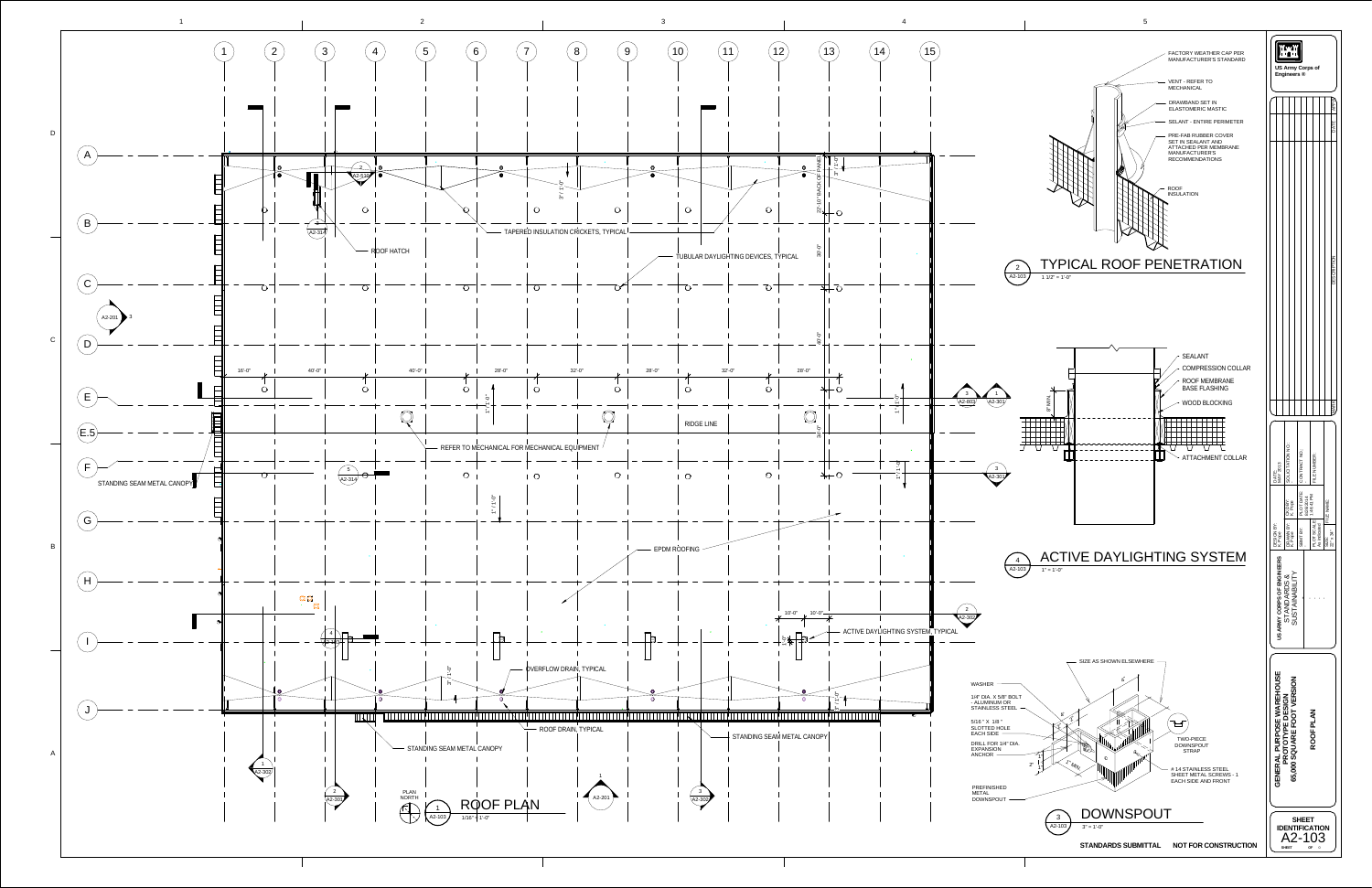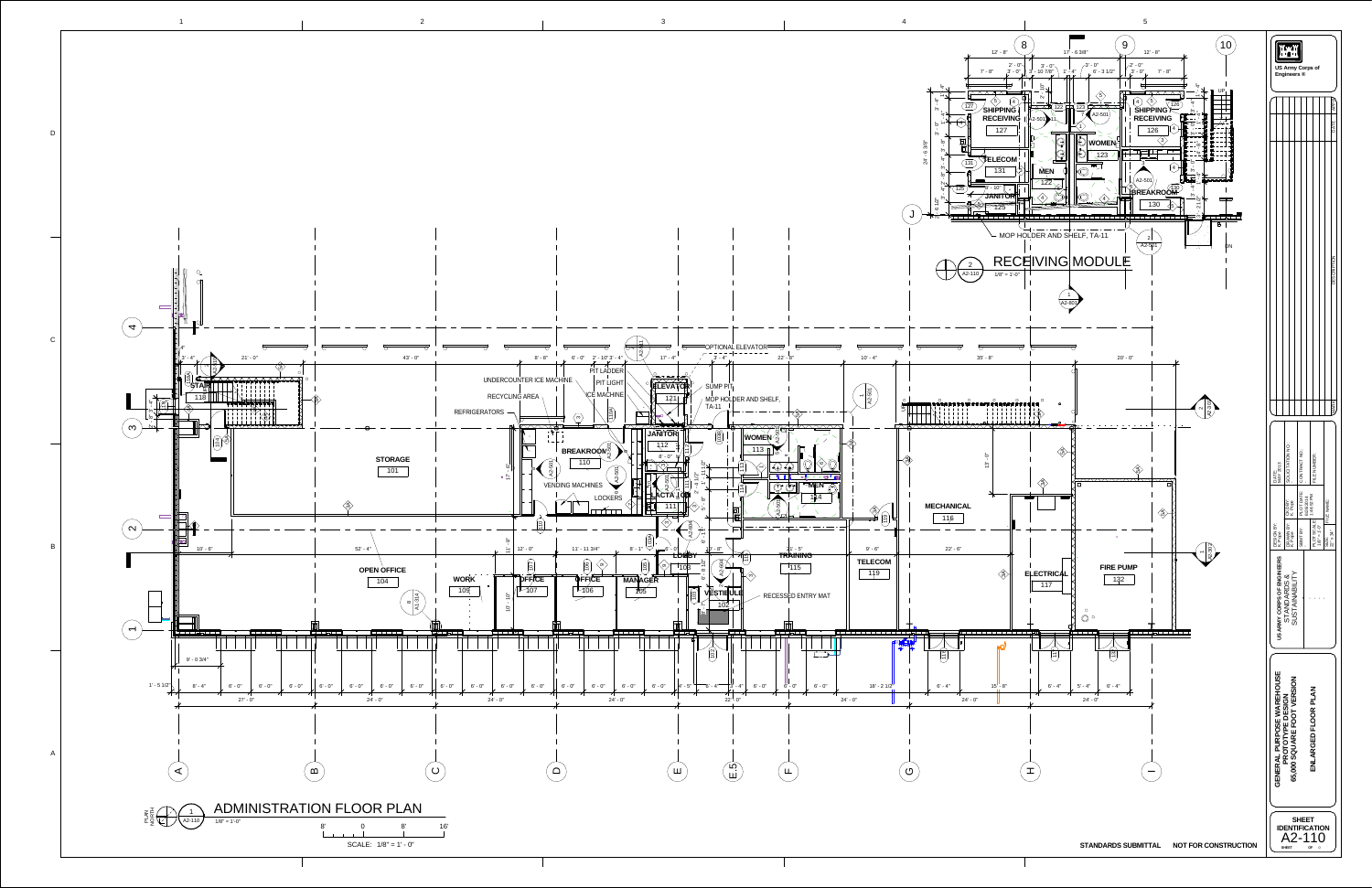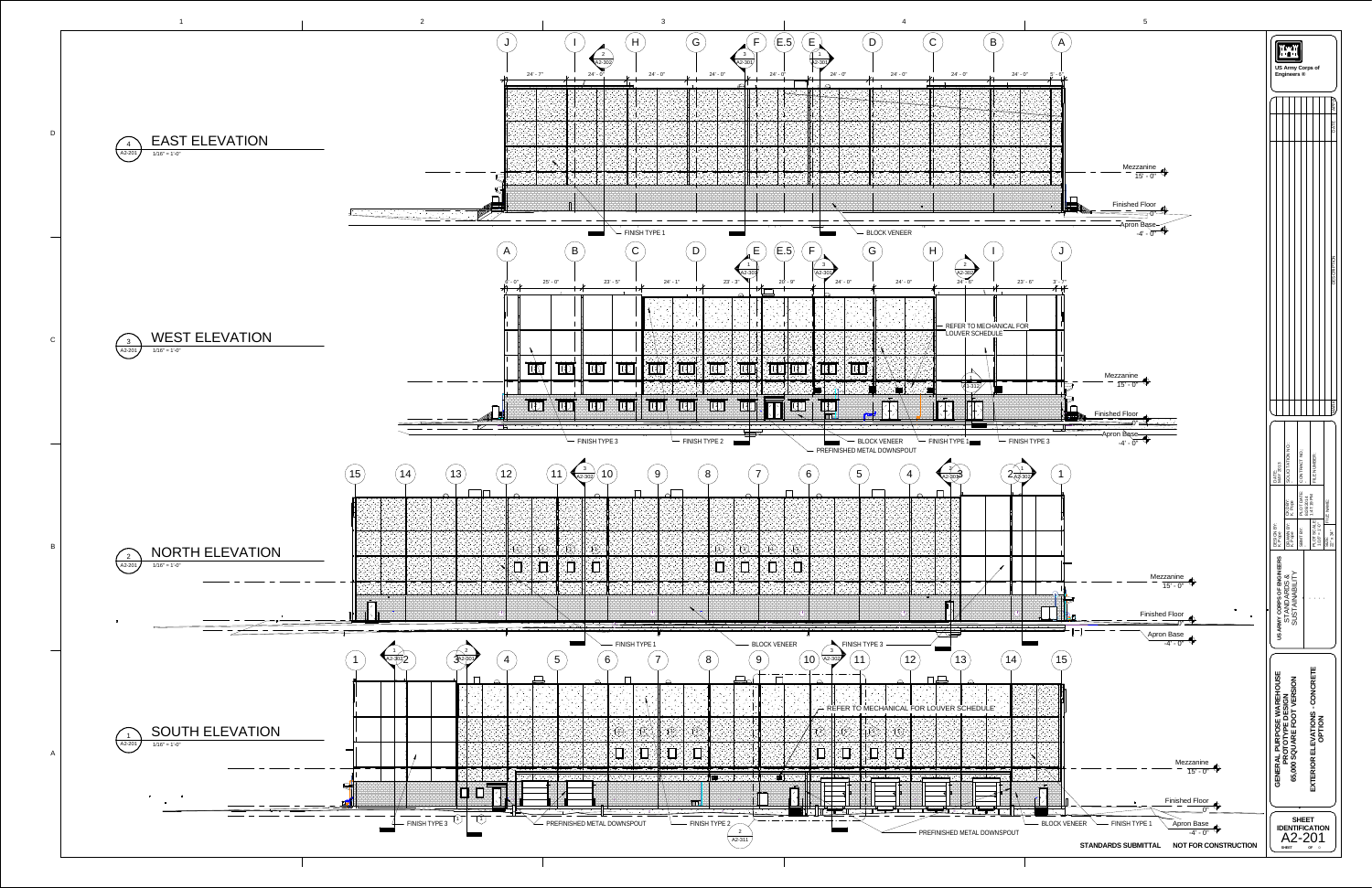![](_page_5_Figure_0.jpeg)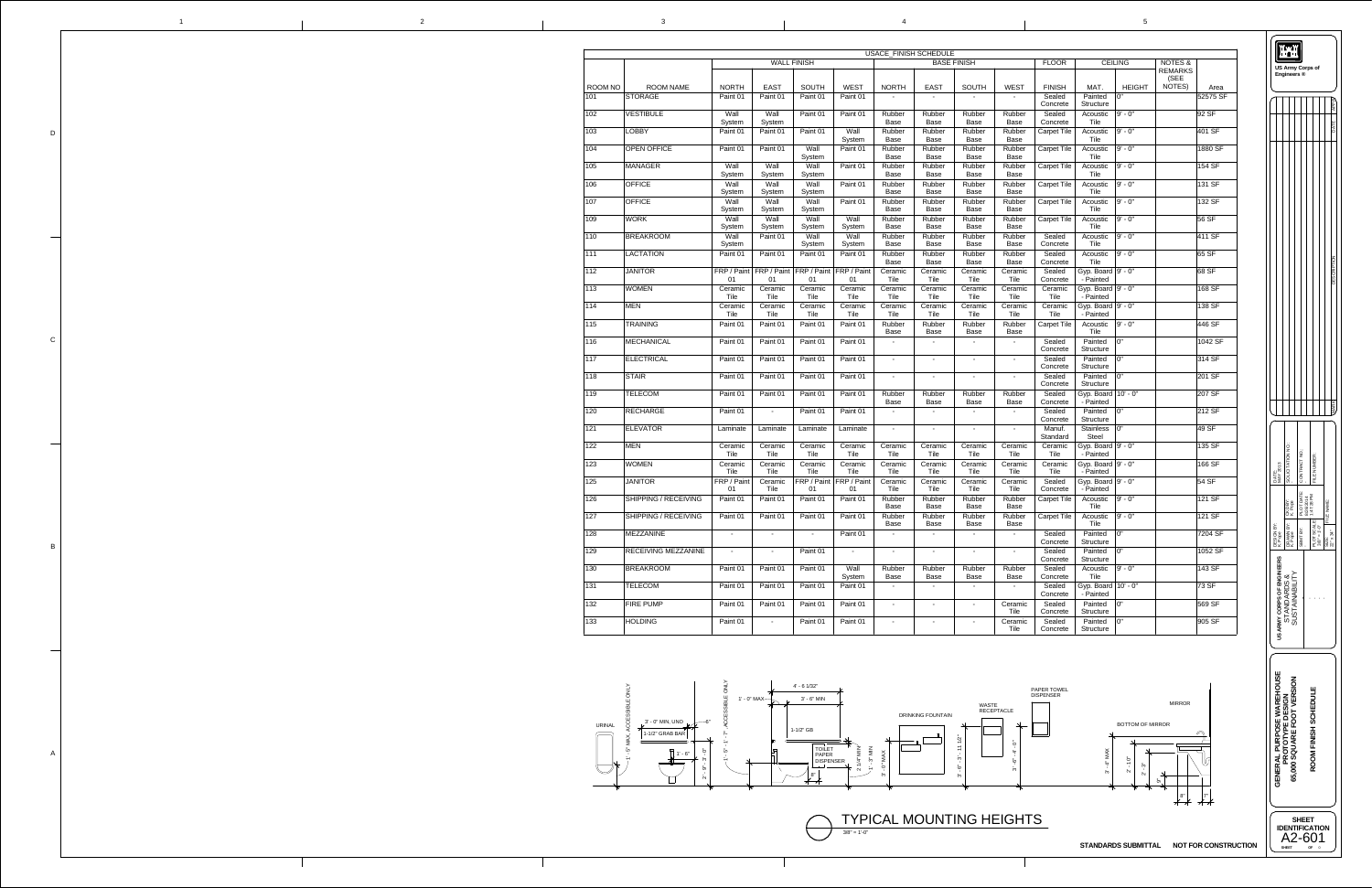![](_page_6_Figure_3.jpeg)

5

|              | $\mathbf 1$ | $\overline{2}$ |
|--------------|-------------|----------------|
|              |             |                |
|              |             |                |
|              |             |                |
|              |             |                |
|              |             |                |
| $\mathsf D$  |             |                |
|              |             |                |
|              |             |                |
|              |             |                |
|              |             |                |
|              |             |                |
|              |             |                |
|              |             |                |
|              |             |                |
|              |             |                |
|              |             |                |
|              |             |                |
| ${\bf C}$    |             |                |
|              |             |                |
|              |             |                |
|              |             |                |
|              |             |                |
|              |             |                |
|              |             |                |
|              |             |                |
|              |             |                |
|              |             |                |
|              |             |                |
| $\, {\bf B}$ |             |                |
|              |             |                |
|              |             |                |
|              |             |                |
|              |             |                |
|              |             |                |
|              |             |                |
|              |             |                |
|              |             |                |
|              |             |                |
|              |             |                |
| $\mathsf{A}$ |             |                |
|              |             |                |
|              |             |                |
|              |             |                |
|              |             |                |
|              |             |                |

![](_page_6_Figure_6.jpeg)

**STANDARDS SUBMITTAL NOT FOR CONSTRUCTION**

 $3/8" = 1'-0"$ TYPICAL MOUNTING HEIGHTS

|               |                             |                     |                           |                                                       |                                   |                        | USACE_FINISH SCHEDULE    |                                         |                        |                                |                                     |                  |                                              |          |
|---------------|-----------------------------|---------------------|---------------------------|-------------------------------------------------------|-----------------------------------|------------------------|--------------------------|-----------------------------------------|------------------------|--------------------------------|-------------------------------------|------------------|----------------------------------------------|----------|
|               |                             |                     |                           | <b>WALL FINISH</b>                                    |                                   |                        |                          | <b>BASE FINISH</b>                      |                        | <b>FLOOR</b>                   |                                     | <b>CEILING</b>   | <b>NOTES &amp;</b><br><b>REMARKS</b><br>(SEE |          |
| ROOM NO       | <b>ROOM NAME</b>            | <b>NORTH</b>        | <b>EAST</b>               | <b>SOUTH</b>                                          | <b>WEST</b>                       | <b>NORTH</b>           | <b>EAST</b>              | <b>SOUTH</b>                            | <b>WEST</b>            | <b>FINISH</b>                  | MAT.                                | <b>HEIGHT</b>    | NOTES)                                       | Area     |
| 101           | <b>STORAGE</b>              | Paint 01            | Paint 01                  | Paint 01                                              | Paint 01                          |                        |                          |                                         |                        | Sealed<br>Concrete             | Painted<br><b>Structure</b>         | 0"               |                                              | 52575 SF |
| 102           | <b>VESTIBULE</b>            | Wall<br>System      | Wall<br>System            | Paint 01                                              | Paint 01                          | Rubber<br><b>Base</b>  | Rubber<br><b>Base</b>    | Rubber<br><b>Base</b>                   | Rubber<br><b>Base</b>  | Sealed<br>Concrete             | Acoustic<br>Tile                    | 9' - 0"          |                                              | 92 SF    |
| 103           | <b>LOBBY</b>                | Paint 01            | Paint 01                  | Paint 01                                              | Wall<br>System                    | Rubber<br><b>Base</b>  | Rubber<br><b>Base</b>    | Rubber<br><b>Base</b>                   | Rubber<br><b>Base</b>  | <b>Carpet Tile</b>             | Acoustic<br>Tile                    | 9' - 0"          |                                              | 401 SF   |
| 104           | <b>OPEN OFFICE</b>          | Paint 01            | Paint 01                  | Wall<br>System                                        | Paint 01                          | Rubber<br><b>Base</b>  | Rubber<br><b>Base</b>    | Rubber<br>Base                          | Rubber<br><b>Base</b>  | <b>Carpet Tile</b>             | Acoustic<br>Tile                    | 9' - 0"          |                                              | 1880 SF  |
| 105           | <b>MANAGER</b>              | Wall                | Wall<br>System            | Wall                                                  | Paint 01                          | Rubber<br><b>Base</b>  | Rubber<br><b>Base</b>    | Rubber<br>Base                          | Rubber<br><b>Base</b>  | <b>Carpet Tile</b>             | Acoustic<br>Tile                    | 9' - 0"          |                                              | 154 SF   |
| 106           | <b>OFFICE</b>               | System<br>Wall      | Wall                      | System<br>Wall                                        | Paint 01                          | Rubber                 | Rubber                   | Rubber                                  | Rubber                 | <b>Carpet Tile</b>             | Acoustic                            | 9' - 0"          |                                              | 131 SF   |
| 107           | <b>OFFICE</b>               | System<br>Wall      | <b>System</b><br>Wall     | System<br>Wall                                        | Paint 01                          | <b>Base</b><br>Rubber  | <b>Base</b><br>Rubber    | <b>Base</b><br>Rubber                   | <b>Base</b><br>Rubber  | <b>Carpet Tile</b>             | Tile<br>Acoustic                    | $ 9'$ - $0"$     |                                              | 132 SF   |
| 109           | <b>WORK</b>                 | System<br>Wall      | System<br>Wall            | System<br>Wall                                        | Wall                              | <b>Base</b><br>Rubber  | <b>Base</b><br>Rubber    | <b>Base</b><br>Rubber                   | <b>Base</b><br>Rubber  | <b>Carpet Tile</b>             | Tile<br>Acoustic                    | 9' - 0"          |                                              | 56 SF    |
| 110           | <b>BREAKROOM</b>            | System<br>Wall      | <b>System</b><br>Paint 01 | <b>System</b><br>Wall                                 | System<br>Wall                    | <b>Base</b><br>Rubber  | <b>Base</b><br>Rubber    | <b>Base</b><br>Rubber                   | <b>Base</b><br>Rubber  | Sealed                         | Tile<br>Acoustic                    | $ 9'$ - $0"$     |                                              | 411 SF   |
| 111           | <b>LACTATION</b>            | System<br>Paint 01  | Paint 01                  | System<br>Paint 01                                    | System<br>Paint 01                | <b>Base</b><br>Rubber  | <b>Base</b><br>Rubber    | <b>Base</b><br>Rubber                   | <b>Base</b><br>Rubber  | Concrete<br>Sealed             | Tile<br>Acoustic                    | 9' - 0"          |                                              | 65 SF    |
| $ 112\rangle$ | <b>JANITOR</b>              |                     |                           | FRP / Paint   FRP / Paint   FRP / Paint   FRP / Paint |                                   | <b>Base</b><br>Ceramic | <b>Base</b><br>Ceramic   | <b>Base</b><br>Ceramic                  | <b>Base</b><br>Ceramic | Concrete<br>Sealed             | Tile<br>Gyp. Board $ 9' - 0"$       |                  |                                              | 68 SF    |
| 113           | <b>WOMEN</b>                | 01<br>Ceramic       | 01<br>Ceramic             | 01<br>Ceramic                                         | 01<br>Ceramic                     | Tile<br>Ceramic        | Tile<br>Ceramic          | Tile<br>Ceramic                         | Tile<br>Ceramic        | Concrete<br>Ceramic            | - Painted<br>Gyp. Board $ 9' - 0"$  |                  |                                              | 168 SF   |
|               |                             | Tile                | Tile                      | Tile                                                  | Tile                              | Tile                   | Tile                     | Tile                                    | Tile                   | Tile                           | - Painted                           |                  |                                              |          |
| 114           | <b>MEN</b>                  | Ceramic<br>Tile     | Ceramic<br>Tile           | Ceramic<br>Tile                                       | Ceramic<br>Tile                   | Ceramic<br>Tile        | Ceramic<br>Tile          | Ceramic<br>Tile                         | Ceramic<br>Tile        | Ceramic<br>Tile                | Gyp. Board $ 9' - 0"$<br>- Painted  |                  |                                              | 138 SF   |
| $ 115\rangle$ | <b>TRAINING</b>             | Paint 01            | Paint 01                  | Paint 01                                              | Paint 01                          | Rubber<br><b>Base</b>  | Rubber<br><b>Base</b>    | Rubber<br><b>Base</b>                   | Rubber<br><b>Base</b>  | <b>Carpet Tile</b>             | Acoustic<br>Tile                    | 9' - 0"          |                                              | 446 SF   |
| 116           | MECHANICAL                  | Paint 01            | Paint 01                  | Paint 01                                              | Paint 01                          |                        | $\overline{\phantom{a}}$ | $\sim$                                  |                        | Sealed<br>Concrete             | Painted<br><b>Structure</b>         |                  |                                              | 1042 SF  |
| 117           | <b>ELECTRICAL</b>           | Paint 01            | Paint 01                  | Paint 01                                              | Paint 01                          | $\sim$                 | $\blacksquare$           | $\overline{\phantom{a}}$                | $\sim$                 | Sealed<br>Concrete             | Painted<br><b>Structure</b>         | $\overline{0}$ " |                                              | 314 SF   |
| 118           | <b>STAIR</b>                | Paint 01            | Paint 01                  | Paint 01                                              | Paint 01                          |                        |                          | $\blacksquare$                          |                        | Sealed<br>Concrete             | Painted<br><b>Structure</b>         | 0"               |                                              | 201 SF   |
| 119           | <b>TELECOM</b>              | Paint 01            | Paint 01                  | Paint 01                                              | Paint 01                          | Rubber<br><b>Base</b>  | Rubber<br><b>Base</b>    | Rubber<br><b>Base</b>                   | Rubber<br><b>Base</b>  | Sealed<br>Concrete             | Gyp. Board $10' - 0''$<br>- Painted |                  |                                              | 207 SF   |
| 120           | <b>RECHARGE</b>             | Paint 01            | $\sim$                    | Paint 01                                              | Paint 01                          |                        | $\overline{\phantom{a}}$ | $\overline{\phantom{a}}$                |                        | Sealed<br>Concrete             | Painted<br><b>Structure</b>         |                  |                                              | 212 SF   |
| 121           | <b>ELEVATOR</b>             | Laminate            | Laminate                  | Laminate                                              | Laminate                          | $\sim$                 | $\blacksquare$           | $\blacksquare$                          | $\sim$                 | Manuf.<br>Standard             | Stainless $ 0$ "<br><b>Steel</b>    |                  |                                              | 49 SF    |
| 122           | <b>MEN</b>                  | Ceramic<br>Tile     | Ceramic<br>Tile           | Ceramic<br>Tile                                       | Ceramic<br>Tile                   | Ceramic<br>Tile        | Ceramic<br>Tile          | Ceramic<br>Tile                         | Ceramic<br>Tile        | Ceramic<br>Tile                | Gyp. Board $ 9' - 0"$<br>- Painted  |                  |                                              | 135 SF   |
| 123           | <b>WOMEN</b>                | Ceramic             | Ceramic                   | Ceramic                                               | Ceramic                           | Ceramic                | Ceramic                  | Ceramic                                 | Ceramic                | Ceramic                        | Gyp. Board $ 9' - 0"$               |                  |                                              | 166 SF   |
| 125           | <b>JANITOR</b>              | Tile<br>FRP / Paint | Tile<br>Ceramic           | Tile                                                  | Tile<br>FRP / Paint   FRP / Paint | Tile<br>Ceramic        | <b>Tile</b><br>Ceramic   | Tile<br>Ceramic                         | Tile<br>Ceramic        | Tile<br>Sealed                 | - Painted<br>Gyp. Board $ 9' - 0"$  |                  |                                              | 54 SF    |
| 126           | <b>SHIPPING / RECEIVING</b> | 01<br>Paint 01      | Tile<br>Paint 01          | 01<br>Paint 01                                        | 01<br>Paint 01                    | Tile<br>Rubber         | Tile<br>Rubber           | Tile<br>Rubber                          | Tile<br>Rubber         | Concrete<br><b>Carpet Tile</b> | - Painted<br>Acoustic               | 9' - 0"          |                                              | 121 SF   |
| 127           | <b>SHIPPING / RECEIVING</b> | Paint 01            | Paint 01                  | Paint 01                                              | Paint 01                          | <b>Base</b><br>Rubber  | <b>Base</b><br>Rubber    | <b>Base</b><br>Rubber                   | <b>Base</b><br>Rubber  | <b>Carpet Tile</b>             | Tile<br>Acoustic                    | $ 9' - 0"$       |                                              | 121 SF   |
| 128           | <b>MEZZANINE</b>            | $\sim$              | $\sim$                    | $\sim$                                                | Paint 01                          | Base                   | <b>Base</b><br>$\sim$    | <b>Base</b><br>$\sim$                   | <b>Base</b>            | Sealed                         | Tile<br>Painted                     | 0"               |                                              | 7204 SF  |
| $ 129\rangle$ | <b>RECEIVING MEZZANINE</b>  |                     |                           | Paint 01                                              |                                   |                        |                          |                                         |                        | Concrete<br>Sealed             | Structure<br>Painted $ 0$ "         |                  |                                              | 1052 SF  |
| 130           | <b>BREAKROOM</b>            | Paint 01            | Paint 01                  | Paint 01                                              | Wall                              | Rubber                 | Rubber                   | Rubber                                  | Rubber                 | Concrete<br>Sealed             | Structure<br>Acoustic               | $ 9' - 0"$       |                                              | 143 SF   |
| 131           | <b>TELECOM</b>              | Paint 01            | Paint 01                  | Paint 01                                              | System<br>Paint 01                | <b>Base</b><br>$\sim$  | <b>Base</b><br>$\sim$    | <b>Base</b><br>$\overline{\phantom{a}}$ | <b>Base</b><br>$\sim$  | Concrete<br>Sealed             | Tile<br>Gyp. Board $ 10' - 0"$      |                  |                                              | 73 SF    |
|               |                             |                     |                           |                                                       |                                   |                        |                          |                                         |                        | Concrete                       | - Painted                           | 0"               |                                              |          |
| 132           | <b>FIRE PUMP</b>            | Paint 01            | Paint 01                  | Paint 01                                              | Paint 01                          | $\sim$                 | $\blacksquare$           | $\sim$                                  | Ceramic<br>Tile        | Sealed<br>Concrete             | Painted<br><b>Structure</b>         |                  |                                              | 569 SF   |
| 133           | <b>HOLDING</b>              | Paint 01            | $\sim$                    | Paint 01                                              | Paint 01                          | $\sim$                 | $\overline{\phantom{a}}$ | $\overline{\phantom{a}}$                | Ceramic<br>Tile        | Sealed<br>Concrete             | Painted<br>Structure                | 0"               |                                              | 905 SF   |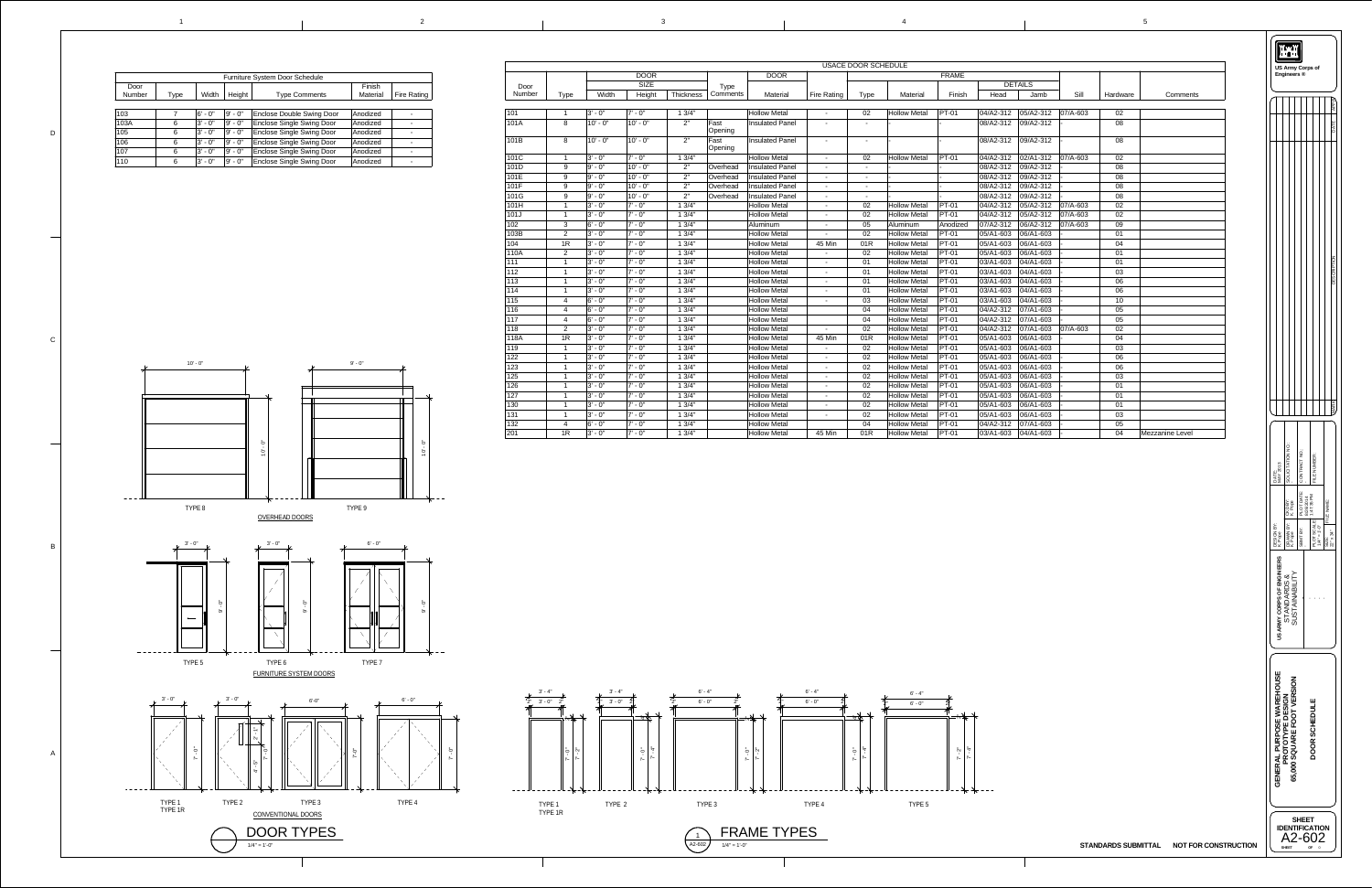|  | $\overline{\mathbf{3}}$ | $\overline{4}$ |  |
|--|-------------------------|----------------|--|
|  |                         |                |  |

D

C

B

A

![](_page_7_Figure_9.jpeg)

![](_page_7_Figure_4.jpeg)

![](_page_7_Figure_8.jpeg)

|               |                |             |             |                  |                 |                        |                    | <b>USACE DOOR SCHEDULE</b> |                     |              |           |                              |                |          |                 |
|---------------|----------------|-------------|-------------|------------------|-----------------|------------------------|--------------------|----------------------------|---------------------|--------------|-----------|------------------------------|----------------|----------|-----------------|
|               |                |             | <b>DOOR</b> |                  |                 | <b>DOOR</b>            |                    |                            |                     | <b>FRAME</b> |           |                              |                |          |                 |
| Door          |                |             | <b>SIZE</b> |                  | <b>Type</b>     |                        |                    |                            |                     |              |           | <b>DETAILS</b>               |                |          |                 |
| <b>Number</b> | <b>Type</b>    | Width       | Height      | <b>Thickness</b> | Comments        | <b>Material</b>        | <b>Fire Rating</b> | <b>Type</b>                | Material            | Finish       | Head      | Jamb                         | Sill           | Hardware | Comments        |
|               |                |             |             |                  |                 |                        |                    |                            |                     |              |           |                              |                |          |                 |
| 101           | $\overline{1}$ | $ 3 - 0$ "  | $7' - 0''$  | 13/4"            |                 | <b>Hollow Metal</b>    | $\sim$             | 02                         | <b>Hollow Metal</b> | <b>PT-01</b> | 04/A2-312 | 05/A2-312                    | $ 07/A-603 $   | 02       |                 |
| 101A          | 8              | $10' - 0''$ | $10' - 0''$ | 2"               | Fast<br>Opening | <b>Insulated Panel</b> | $\sim$             |                            |                     |              | 08/A2-312 | 09/A2-312                    |                | 08       |                 |
| 101B          | 8              | $10' - 0''$ | $10' - 0''$ | 2"               | Fast<br>Opening | <b>Insulated Panel</b> | $\sim$             | $\overline{\phantom{a}}$   |                     |              | 08/A2-312 | 09/A2-312                    |                | 08       |                 |
| 101C          |                | $ 3' - 0"$  | $7' - 0''$  | 13/4"            |                 | <b>Hollow Metal</b>    | $\sim$             | 02                         | <b>Hollow Metal</b> | <b>PT-01</b> | 04/A2-312 | 02/A1-312                    | $ 07/A-603 $   | 02       |                 |
| 101D          | 9              | 9' - 0"     | $10' - 0''$ | 2"               | Overhead        | <b>Insulated Panel</b> | $\sim$             | $\overline{\phantom{a}}$   |                     |              | 08/A2-312 | 09/A2-312                    |                | 08       |                 |
| 101E          | 9              | 9' - 0"     | $10' - 0''$ | 2"               | Overhead        | <b>Insulated Panel</b> | $\sim$             | $\sim$                     |                     |              | 08/A2-312 | 09/A2-312                    |                | 08       |                 |
| 101F          | 9              | 9' - 0"     | $10' - 0''$ | 2"               | Overhead        | <b>Insulated Panel</b> | $\sim$             | $\overline{\phantom{a}}$   |                     |              | 08/A2-312 | 09/A2-312                    |                | 08       |                 |
| 101G          | 9              | 9' - 0"     | $10' - 0''$ | 2"               | Overhead        | <b>Insulated Panel</b> | $\sim$             | $\sim$                     |                     |              | 08/A2-312 | 09/A2-312                    |                | 08       |                 |
| 101H          |                | 3' - 0"     | $7' - 0''$  | 13/4"            |                 | <b>Hollow Metal</b>    | $\sim$             | 02                         | <b>Hollow Metal</b> | <b>PT-01</b> | 04/A2-312 | 05/A2-312                    | $ 07/A-603 $   | 02       |                 |
| 101J          |                | 3' - 0"     | $7' - 0''$  | 13/4"            |                 | <b>Hollow Metal</b>    | $\sim$             | 02                         | <b>Hollow Metal</b> | <b>PT-01</b> | 04/A2-312 | 05/A2-312                    | $ 07/A-603 $   | 02       |                 |
| 102           | $\mathbf{3}$   | 6' - 0"     | $7' - 0''$  | 13/4"            |                 | Aluminum               | $\sim$             | 05                         | Aluminum            | Anodized     | 07/A2-312 | 06/A2-312                    | $ 07/A - 603 $ | 09       |                 |
| 103B          | $\overline{2}$ | $ 3' - 0"$  | $7' - 0''$  | 13/4"            |                 | <b>Hollow Metal</b>    | $\sim$             | 02                         | <b>Hollow Metal</b> | <b>PT-01</b> | 05/A1-603 | 06/A1-603                    |                | 01       |                 |
| 104           | 1R             | 3' - 0"     | $7' - 0''$  | 13/4"            |                 | <b>Hollow Metal</b>    | 45 Min             | 01R                        | <b>Hollow Metal</b> | <b>PT-01</b> | 05/A1-603 | 06/A1-603                    |                | 04       |                 |
| 110A          | 2              | 3' - 0"     | $7' - 0''$  | 13/4"            |                 | <b>Hollow Metal</b>    | $\sim$ $-$         | 02                         | <b>Hollow Metal</b> | <b>PT-01</b> | 05/A1-603 | 06/A1-603                    |                | 01       |                 |
| 111           |                | 3' - 0"     | $7' - 0''$  | 13/4"            |                 | <b>Hollow Metal</b>    | $\sim$             | 01                         | <b>Hollow Metal</b> | <b>PT-01</b> | 03/A1-603 | 04/A1-603                    |                | 01       |                 |
| 112           |                | 3' - 0"     | $7' - 0''$  | 13/4"            |                 | <b>Hollow Metal</b>    | $\sim$             | 01                         | <b>Hollow Metal</b> | <b>PT-01</b> | 03/A1-603 | 04/A1-603                    |                | 03       |                 |
| 113           |                | 3' - 0"     | $7' - 0''$  | 13/4"            |                 | <b>Hollow Metal</b>    | $\sim$             | 01                         | <b>Hollow Metal</b> | <b>PT-01</b> | 03/A1-603 | 04/A1-603                    |                | 06       |                 |
| 114           |                | 3' - 0"     | $7' - 0''$  | 13/4"            |                 | <b>Hollow Metal</b>    | $\sim$             | 01                         | <b>Hollow Metal</b> | <b>PT-01</b> | 03/A1-603 | 04/A1-603                    |                | 06       |                 |
| 115           | $\overline{4}$ | $ 6' - 0"$  | $7' - 0''$  | 13/4"            |                 | <b>Hollow Metal</b>    | $\sim$ $-$         | 03                         | <b>Hollow Metal</b> | <b>PT-01</b> | 03/A1-603 | 04/A1-603                    |                | 10       |                 |
| 116           | $\overline{4}$ | $ 6' - 0"$  | $7' - 0''$  | 13/4"            |                 | <b>Hollow Metal</b>    |                    | 04                         | <b>Hollow Metal</b> | <b>PT-01</b> |           |                              |                | 05       |                 |
| 117           | 4              | 6' - 0"     | $7' - 0''$  | 13/4"            |                 | <b>Hollow Metal</b>    |                    | 04                         | <b>Hollow Metal</b> | <b>PT-01</b> | 04/A2-312 | $ 07/A1-603 $                |                | 05       |                 |
| 118           | $\overline{2}$ | $ 3' - 0"$  | $7' - 0''$  | 13/4"            |                 | <b>Hollow Metal</b>    | $\sim$             | 02                         | <b>Hollow Metal</b> | <b>PT-01</b> | 04/A2-312 | 07/A1-603                    | $ 07/A-603 $   | 02       |                 |
| 118A          | 1R             | 3' - 0"     | 7' - 0"     | 13/4"            |                 | <b>Hollow Metal</b>    | 45 Min             | 01R                        | <b>Hollow Metal</b> | <b>PT-01</b> | 05/A1-603 | 06/A1-603                    |                | 04       |                 |
| 119           |                | $ 3' - 0"$  | $7' - 0''$  | 13/4"            |                 | <b>Hollow Metal</b>    | $\sim$             | 02                         | <b>Hollow Metal</b> | <b>PT-01</b> | 05/A1-603 | 06/A1-603                    |                | 03       |                 |
| 122           |                | $ 3' - 0"$  | $7' - 0''$  | 13/4"            |                 | <b>Hollow Metal</b>    | $\sim$             | 02                         | <b>Hollow Metal</b> | <b>PT-01</b> | 05/A1-603 | 06/A1-603                    |                | 06       |                 |
| 123           |                | $ 3' - 0"$  | $7' - 0''$  | 13/4"            |                 | <b>Hollow Metal</b>    | $\sim$             | 02                         | <b>Hollow Metal</b> | <b>PT-01</b> | 05/A1-603 | 06/A1-603                    |                | 06       |                 |
| 125           |                | $ 3' - 0"$  | $7' - 0''$  | 13/4"            |                 | <b>Hollow Metal</b>    | $\sim$             | 02                         | <b>Hollow Metal</b> | <b>PT-01</b> | 05/A1-603 | 06/A1-603                    |                | 03       |                 |
| 126           |                | $ 3' - 0"$  | $7' - 0''$  | 13/4"            |                 | <b>Hollow Metal</b>    | $\sim$             | 02                         | <b>Hollow Metal</b> | <b>PT-01</b> | 05/A1-603 | 06/A1-603                    |                | 01       |                 |
| 127           |                | $ 3' - 0"$  | $7' - 0''$  | 13/4"            |                 | <b>Hollow Metal</b>    | $\sim$             | 02                         | <b>Hollow Metal</b> | <b>PT-01</b> | 05/A1-603 | 06/A1-603                    |                | 01       |                 |
| 130           |                | $ 3' - 0"$  | $7' - 0''$  | 13/4"            |                 | <b>Hollow Metal</b>    | $\sim$             | 02                         | <b>Hollow Metal</b> | <b>PT-01</b> | 05/A1-603 | 06/A1-603                    |                | 01       |                 |
| 131           |                | $ 3' - 0"$  | $7' - 0''$  | 13/4"            |                 | <b>Hollow Metal</b>    | $\sim$             | 02                         | <b>Hollow Metal</b> | <b>PT-01</b> | 05/A1-603 | 06/A1-603                    |                | 03       |                 |
| 132           | 4              | $ 6' - 0"$  | $7' - 0''$  | 13/4"            |                 | <b>Hollow Metal</b>    |                    | 04                         | <b>Hollow Metal</b> | <b>PT-01</b> | 04/A2-312 | $ 07/A1 - 603 $              |                | 05       |                 |
| $ 201\rangle$ | 1R             | $ 3' - 0"$  | $7' - 0''$  | 13/4"            |                 | <b>Hollow Metal</b>    | 45 Min             | 01R                        | <b>Hollow Metal</b> | $PT-01$      |           | $ 03/A1 - 603  04/A1 - 603 $ |                | 04       | Mezzanine Level |

| <b>Furniture System Door Schedule</b> |                                                 |            |                           |                                  |          |  |  |  |  |  |
|---------------------------------------|-------------------------------------------------|------------|---------------------------|----------------------------------|----------|--|--|--|--|--|
| Door<br><b>Number</b>                 | Width<br>Height<br><b>Type Comments</b><br>Type |            | Finish<br><b>Material</b> | <b>Fire Rating</b>               |          |  |  |  |  |  |
|                                       |                                                 |            |                           |                                  |          |  |  |  |  |  |
| 103                                   |                                                 | $6' - 0''$ | $9' - 0''$                | <b>Enclose Double Swing Door</b> | Anodized |  |  |  |  |  |
| 103A                                  | 6                                               | $3' - 0''$ | $9' - 0''$                | <b>Enclose Single Swing Door</b> | Anodized |  |  |  |  |  |
| 105                                   | 6                                               | $3' - 0''$ | $9' - 0''$                | <b>Enclose Single Swing Door</b> | Anodized |  |  |  |  |  |
| 106                                   | 6                                               | $3' - 0''$ | $9' - 0''$                | <b>Enclose Single Swing Door</b> | Anodized |  |  |  |  |  |
| 107                                   | 6                                               | $3' - 0''$ | $9' - 0''$                | <b>Enclose Single Swing Door</b> | Anodized |  |  |  |  |  |
| 110                                   | 6                                               | $3' - 0''$ | $9' - 0''$                | <b>Enclose Single Swing Door</b> | Anodized |  |  |  |  |  |